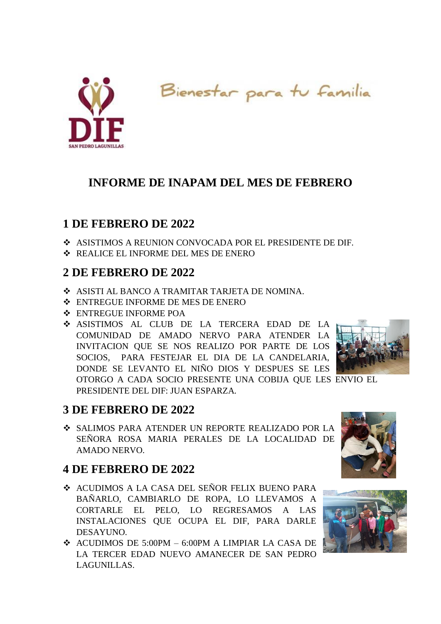

Bienestar para tu familia

# **INFORME DE INAPAM DEL MES DE FEBRERO**

## **1 DE FEBRERO DE 2022**

- ASISTIMOS A REUNION CONVOCADA POR EL PRESIDENTE DE DIF.
- REALICE EL INFORME DEL MES DE ENERO

## **2 DE FEBRERO DE 2022**

- ASISTI AL BANCO A TRAMITAR TARJETA DE NOMINA.
- ENTREGUE INFORME DE MES DE ENERO
- ENTREGUE INFORME POA
- ASISTIMOS AL CLUB DE LA TERCERA EDAD DE LA COMUNIDAD DE AMADO NERVO PARA ATENDER LA INVITACION QUE SE NOS REALIZO POR PARTE DE LOS SOCIOS, PARA FESTEJAR EL DIA DE LA CANDELARIA, DONDE SE LEVANTO EL NIÑO DIOS Y DESPUES SE LES OTORGO A CADA SOCIO PRESENTE UNA COBIJA QUE LES ENVIO EL PRESIDENTE DEL DIF: JUAN ESPARZA.



## **3 DE FEBRERO DE 2022**

 SALIMOS PARA ATENDER UN REPORTE REALIZADO POR LA SEÑORA ROSA MARIA PERALES DE LA LOCALIDAD DE AMADO NERVO.

## **4 DE FEBRERO DE 2022**

- ACUDIMOS A LA CASA DEL SEÑOR FELIX BUENO PARA BAÑARLO, CAMBIARLO DE ROPA, LO LLEVAMOS A CORTARLE EL PELO, LO REGRESAMOS A LAS INSTALACIONES QUE OCUPA EL DIF, PARA DARLE DESAYUNO.
- $\div$  ACUDIMOS DE 5:00PM 6:00PM A LIMPIAR LA CASA DE LA TERCER EDAD NUEVO AMANECER DE SAN PEDRO LAGUNILLAS.



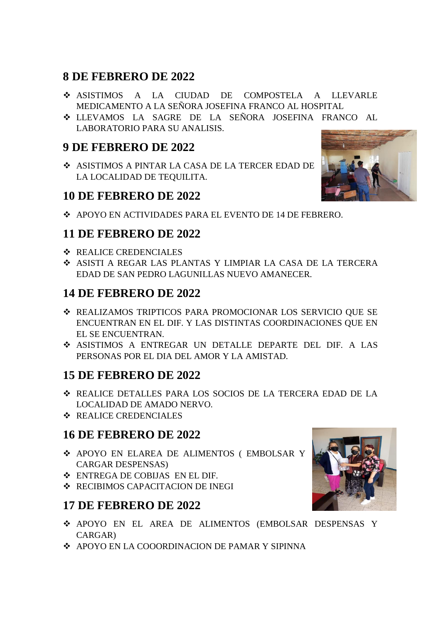### **8 DE FEBRERO DE 2022**

- ASISTIMOS A LA CIUDAD DE COMPOSTELA A LLEVARLE MEDICAMENTO A LA SEÑORA JOSEFINA FRANCO AL HOSPITAL
- LLEVAMOS LA SAGRE DE LA SEÑORA JOSEFINA FRANCO AL LABORATORIO PARA SU ANALISIS.

### **9 DE FEBRERO DE 2022**

 ASISTIMOS A PINTAR LA CASA DE LA TERCER EDAD DE LA LOCALIDAD DE TEQUILITA.

#### **10 DE FEBRERO DE 2022**

APOYO EN ACTIVIDADES PARA EL EVENTO DE 14 DE FEBRERO.

### **11 DE FEBRERO DE 2022**

- **❖ REALICE CREDENCIALES**
- ASISTI A REGAR LAS PLANTAS Y LIMPIAR LA CASA DE LA TERCERA EDAD DE SAN PEDRO LAGUNILLAS NUEVO AMANECER.

#### **14 DE FEBRERO DE 2022**

- REALIZAMOS TRIPTICOS PARA PROMOCIONAR LOS SERVICIO QUE SE ENCUENTRAN EN EL DIF. Y LAS DISTINTAS COORDINACIONES QUE EN EL SE ENCUENTRAN.
- ASISTIMOS A ENTREGAR UN DETALLE DEPARTE DEL DIF. A LAS PERSONAS POR EL DIA DEL AMOR Y LA AMISTAD.

### **15 DE FEBRERO DE 2022**

- REALICE DETALLES PARA LOS SOCIOS DE LA TERCERA EDAD DE LA LOCALIDAD DE AMADO NERVO.
- **❖ REALICE CREDENCIALES**

#### **16 DE FEBRERO DE 2022**

- APOYO EN ELAREA DE ALIMENTOS ( EMBOLSAR Y CARGAR DESPENSAS)
- ENTREGA DE COBIJAS EN EL DIF.
- **❖ RECIBIMOS CAPACITACION DE INEGI**

#### **17 DE FEBRERO DE 2022**

- APOYO EN EL AREA DE ALIMENTOS (EMBOLSAR DESPENSAS Y CARGAR)
- APOYO EN LA COOORDINACION DE PAMAR Y SIPINNA



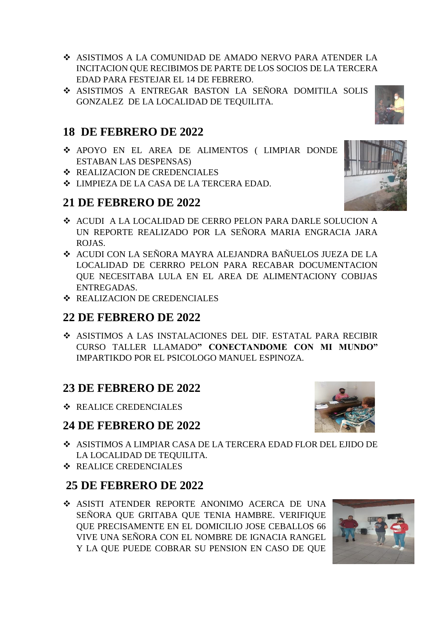- ASISTIMOS A LA COMUNIDAD DE AMADO NERVO PARA ATENDER LA INCITACION QUE RECIBIMOS DE PARTE DE LOS SOCIOS DE LA TERCERA EDAD PARA FESTEJAR EL 14 DE FEBRERO.
- ASISTIMOS A ENTREGAR BASTON LA SEÑORA DOMITILA SOLIS GONZALEZ DE LA LOCALIDAD DE TEQUILITA.

# **18 DE FEBRERO DE 2022**

- APOYO EN EL AREA DE ALIMENTOS ( LIMPIAR DONDE ESTABAN LAS DESPENSAS)
- **❖ REALIZACION DE CREDENCIALES**
- $\div$  **LIMPIEZA DE LA CASA DE LA TERCERA EDAD.**

## **21 DE FEBRERO DE 2022**

- ACUDI A LA LOCALIDAD DE CERRO PELON PARA DARLE SOLUCION A UN REPORTE REALIZADO POR LA SEÑORA MARIA ENGRACIA JARA ROJAS.
- ACUDI CON LA SEÑORA MAYRA ALEJANDRA BAÑUELOS JUEZA DE LA LOCALIDAD DE CERRRO PELON PARA RECABAR DOCUMENTACION QUE NECESITABA LULA EN EL AREA DE ALIMENTACIONY COBIJAS ENTREGADAS.
- **EXALIZACION DE CREDENCIALES**

### **22 DE FEBRERO DE 2022**

 ASISTIMOS A LAS INSTALACIONES DEL DIF. ESTATAL PARA RECIBIR CURSO TALLER LLAMADO**" CONECTANDOME CON MI MUNDO"** IMPARTIKDO POR EL PSICOLOGO MANUEL ESPINOZA.

## **23 DE FEBRERO DE 2022**

**❖ REALICE CREDENCIALES** 

## **24 DE FEBRERO DE 2022**

- ASISTIMOS A LIMPIAR CASA DE LA TERCERA EDAD FLOR DEL EJIDO DE LA LOCALIDAD DE TEQUILITA.
- **❖ REALICE CREDENCIALES**

## **25 DE FEBRERO DE 2022**

 ASISTI ATENDER REPORTE ANONIMO ACERCA DE UNA SEÑORA QUE GRITABA QUE TENIA HAMBRE. VERIFIQUE QUE PRECISAMENTE EN EL DOMICILIO JOSE CEBALLOS 66 VIVE UNA SEÑORA CON EL NOMBRE DE IGNACIA RANGEL Y LA QUE PUEDE COBRAR SU PENSION EN CASO DE QUE